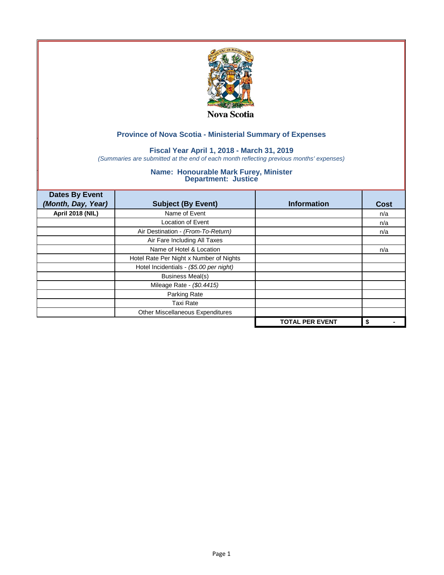

## **Fiscal Year April 1, 2018 - March 31, 2019**

*(Summaries are submitted at the end of each month reflecting previous months' expenses)*

| <b>Dates By Event</b>   |                                         |                        |             |
|-------------------------|-----------------------------------------|------------------------|-------------|
| (Month, Day, Year)      | <b>Subject (By Event)</b>               | <b>Information</b>     | <b>Cost</b> |
| <b>April 2018 (NIL)</b> | Name of Event                           |                        | n/a         |
|                         | <b>Location of Event</b>                |                        | n/a         |
|                         | Air Destination - (From-To-Return)      |                        | n/a         |
|                         | Air Fare Including All Taxes            |                        |             |
|                         | Name of Hotel & Location                |                        | n/a         |
|                         | Hotel Rate Per Night x Number of Nights |                        |             |
|                         | Hotel Incidentials - (\$5.00 per night) |                        |             |
|                         | <b>Business Meal(s)</b>                 |                        |             |
|                         | Mileage Rate - (\$0.4415)               |                        |             |
|                         | Parking Rate                            |                        |             |
|                         | Taxi Rate                               |                        |             |
|                         | Other Miscellaneous Expenditures        |                        |             |
|                         |                                         | <b>TOTAL PER EVENT</b> | \$          |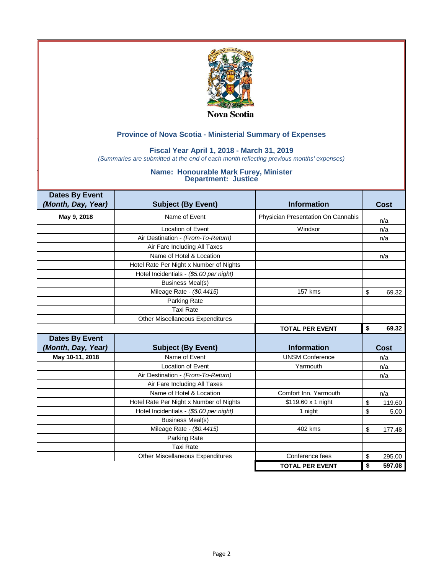

### **Fiscal Year April 1, 2018 - March 31, 2019**

*(Summaries are submitted at the end of each month reflecting previous months' expenses)*

| <b>Dates By Event</b><br>(Month, Day, Year) | <b>Subject (By Event)</b>               | <b>Information</b>                 | <b>Cost</b>  |
|---------------------------------------------|-----------------------------------------|------------------------------------|--------------|
|                                             |                                         |                                    |              |
| May 9, 2018                                 | Name of Event                           | Physician Presentation On Cannabis | n/a          |
|                                             | Location of Event                       | Windsor                            | n/a          |
|                                             | Air Destination - (From-To-Return)      |                                    | n/a          |
|                                             | Air Fare Including All Taxes            |                                    |              |
|                                             | Name of Hotel & Location                |                                    | n/a          |
|                                             | Hotel Rate Per Night x Number of Nights |                                    |              |
|                                             | Hotel Incidentials - (\$5.00 per night) |                                    |              |
|                                             | <b>Business Meal(s)</b>                 |                                    |              |
|                                             | Mileage Rate - (\$0.4415)               | <b>157 kms</b>                     | \$<br>69.32  |
|                                             | Parking Rate                            |                                    |              |
|                                             | <b>Taxi Rate</b>                        |                                    |              |
|                                             | <b>Other Miscellaneous Expenditures</b> |                                    |              |
|                                             |                                         | <b>TOTAL PER EVENT</b>             | \$<br>69.32  |
| <b>Dates By Event</b>                       |                                         |                                    |              |
| (Month, Day, Year)                          | <b>Subject (By Event)</b>               | <b>Information</b>                 | Cost         |
| May 10-11, 2018                             | Name of Event                           | <b>UNSM Conference</b>             | n/a          |
|                                             | <b>Location of Event</b>                | Yarmouth                           | n/a          |
|                                             | Air Destination - (From-To-Return)      |                                    | n/a          |
|                                             | Air Fare Including All Taxes            |                                    |              |
|                                             | Name of Hotel & Location                | Comfort Inn, Yarmouth              | n/a          |
|                                             | Hotel Rate Per Night x Number of Nights | \$119.60 x 1 night                 | \$<br>119.60 |
|                                             | Hotel Incidentials - (\$5.00 per night) | 1 night                            | \$<br>5.00   |
|                                             | <b>Business Meal(s)</b>                 |                                    |              |
|                                             | Mileage Rate - (\$0.4415)               | 402 kms                            | \$<br>177.48 |
|                                             | Parking Rate                            |                                    |              |
|                                             |                                         |                                    |              |
|                                             | <b>Taxi Rate</b>                        |                                    |              |
|                                             | <b>Other Miscellaneous Expenditures</b> | Conference fees                    | \$<br>295.00 |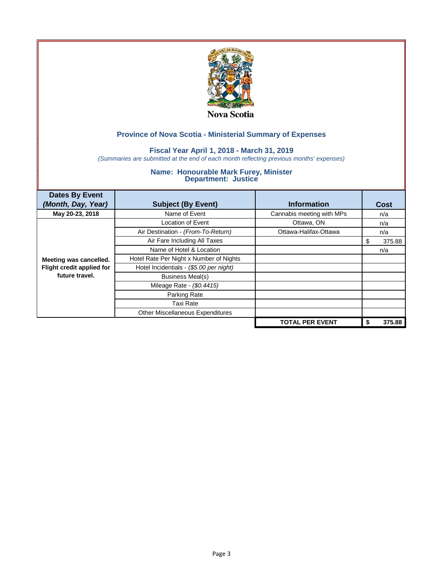

## **Fiscal Year April 1, 2018 - March 31, 2019**

*(Summaries are submitted at the end of each month reflecting previous months' expenses)*

| <b>Dates By Event</b>     |                                         |                           |             |
|---------------------------|-----------------------------------------|---------------------------|-------------|
| (Month, Day, Year)        | <b>Subject (By Event)</b>               | <b>Information</b>        | Cost        |
| May 20-23, 2018           | Name of Event                           | Cannabis meeting with MPs | n/a         |
|                           | <b>Location of Event</b>                | Ottawa, ON                | n/a         |
|                           | Air Destination - (From-To-Return)      | Ottawa-Halifax-Ottawa     | n/a         |
|                           | Air Fare Including All Taxes            |                           | 375.88      |
|                           | Name of Hotel & Location                |                           | n/a         |
| Meeting was cancelled.    | Hotel Rate Per Night x Number of Nights |                           |             |
| Flight credit applied for | Hotel Incidentials - (\$5.00 per night) |                           |             |
| future travel.            | Business Meal(s)                        |                           |             |
|                           | Mileage Rate - (\$0.4415)               |                           |             |
|                           | Parking Rate                            |                           |             |
|                           | Taxi Rate                               |                           |             |
|                           | Other Miscellaneous Expenditures        |                           |             |
|                           |                                         | <b>TOTAL PER EVENT</b>    | 375.88<br>S |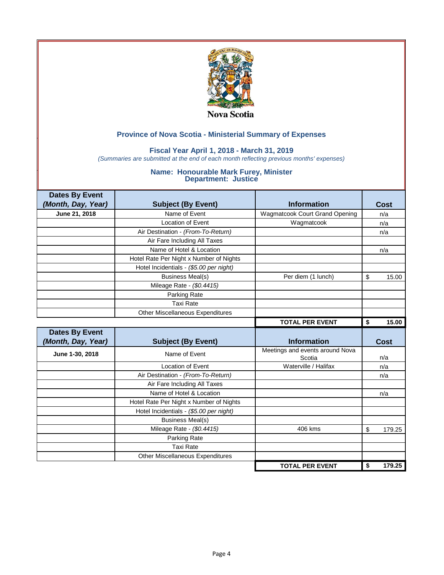

## **Fiscal Year April 1, 2018 - March 31, 2019**

*(Summaries are submitted at the end of each month reflecting previous months' expenses)*

| <b>Dates By Event</b> |                                         |                                           |              |
|-----------------------|-----------------------------------------|-------------------------------------------|--------------|
| (Month, Day, Year)    | <b>Subject (By Event)</b>               | <b>Information</b>                        | Cost         |
| June 21, 2018         | Name of Event                           | <b>Wagmatcook Court Grand Opening</b>     | n/a          |
|                       | <b>Location of Event</b>                | Wagmatcook                                | n/a          |
|                       | Air Destination - (From-To-Return)      |                                           | n/a          |
|                       | Air Fare Including All Taxes            |                                           |              |
|                       | Name of Hotel & Location                |                                           | n/a          |
|                       | Hotel Rate Per Night x Number of Nights |                                           |              |
|                       | Hotel Incidentials - (\$5.00 per night) |                                           |              |
|                       | <b>Business Meal(s)</b>                 | Per diem (1 lunch)                        | \$<br>15.00  |
|                       | Mileage Rate - (\$0.4415)               |                                           |              |
|                       | Parking Rate                            |                                           |              |
|                       | <b>Taxi Rate</b>                        |                                           |              |
|                       | <b>Other Miscellaneous Expenditures</b> |                                           |              |
|                       |                                         | <b>TOTAL PER EVENT</b>                    | \$<br>15.00  |
|                       |                                         |                                           |              |
| <b>Dates By Event</b> |                                         |                                           |              |
| (Month, Day, Year)    | <b>Subject (By Event)</b>               | <b>Information</b>                        | <b>Cost</b>  |
| June 1-30, 2018       | Name of Event                           | Meetings and events around Nova<br>Scotia | n/a          |
|                       | <b>Location of Event</b>                | Waterville / Halifax                      | n/a          |
|                       | Air Destination - (From-To-Return)      |                                           | n/a          |
|                       | Air Fare Including All Taxes            |                                           |              |
|                       | Name of Hotel & Location                |                                           | n/a          |
|                       | Hotel Rate Per Night x Number of Nights |                                           |              |
|                       | Hotel Incidentials - (\$5.00 per night) |                                           |              |
|                       | <b>Business Meal(s)</b>                 |                                           |              |
|                       | Mileage Rate - (\$0.4415)               | 406 kms                                   | \$<br>179.25 |
|                       | Parking Rate                            |                                           |              |
|                       | <b>Taxi Rate</b>                        |                                           |              |
|                       | <b>Other Miscellaneous Expenditures</b> |                                           |              |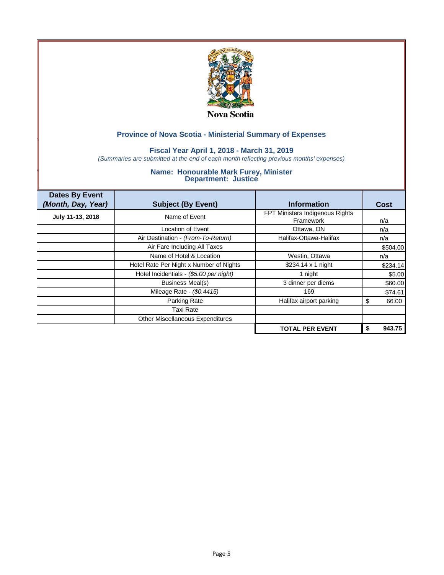

## **Fiscal Year April 1, 2018 - March 31, 2019**

*(Summaries are submitted at the end of each month reflecting previous months' expenses)*

| <b>Dates By Event</b><br>(Month, Day, Year) | <b>Subject (By Event)</b>               | <b>Information</b>                           | Cost       |
|---------------------------------------------|-----------------------------------------|----------------------------------------------|------------|
| July 11-13, 2018                            | Name of Event                           | FPT Ministers Indigenous Rights<br>Framework | n/a        |
|                                             | Location of Event                       | Ottawa, ON                                   | n/a        |
|                                             | Air Destination - (From-To-Return)      | Halifax-Ottawa-Halifax                       | n/a        |
|                                             | Air Fare Including All Taxes            |                                              | \$504.00   |
|                                             | Name of Hotel & Location                | Westin, Ottawa                               | n/a        |
|                                             | Hotel Rate Per Night x Number of Nights | \$234.14 x 1 night                           | \$234.14   |
|                                             | Hotel Incidentials - (\$5.00 per night) | 1 night                                      | \$5.00     |
|                                             | Business Meal(s)                        | 3 dinner per diems                           | \$60.00    |
|                                             | Mileage Rate - (\$0.4415)               | 169                                          | \$74.61    |
|                                             | Parking Rate                            | Halifax airport parking                      | 66.00<br>S |
|                                             | <b>Taxi Rate</b>                        |                                              |            |
|                                             | Other Miscellaneous Expenditures        |                                              |            |
|                                             |                                         | <b>TOTAL PER EVENT</b>                       | 943.75     |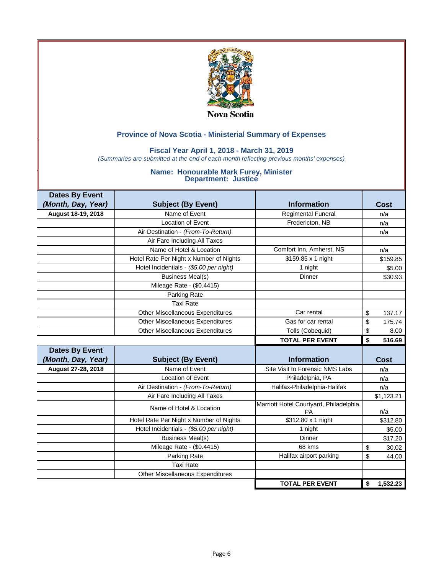

### **Fiscal Year April 1, 2018 - March 31, 2019**

*(Summaries are submitted at the end of each month reflecting previous months' expenses)*

| <b>Dates By Event</b> |                                         |                                               |              |
|-----------------------|-----------------------------------------|-----------------------------------------------|--------------|
| (Month, Day, Year)    | <b>Subject (By Event)</b>               | <b>Information</b>                            | Cost         |
| August 18-19, 2018    | Name of Event                           | Regimental Funeral                            | n/a          |
|                       | <b>Location of Event</b>                | Fredericton, NB                               | n/a          |
|                       | Air Destination - (From-To-Return)      |                                               | n/a          |
|                       | Air Fare Including All Taxes            |                                               |              |
|                       | Name of Hotel & Location                | Comfort Inn, Amherst, NS                      | n/a          |
|                       | Hotel Rate Per Night x Number of Nights | \$159.85 x 1 night                            | \$159.85     |
|                       | Hotel Incidentials - (\$5.00 per night) | 1 night                                       | \$5.00       |
|                       | <b>Business Meal(s)</b>                 | <b>Dinner</b>                                 | \$30.93      |
|                       | Mileage Rate - (\$0.4415)               |                                               |              |
|                       | Parking Rate                            |                                               |              |
|                       | <b>Taxi Rate</b>                        |                                               |              |
|                       | <b>Other Miscellaneous Expenditures</b> | Car rental                                    | \$<br>137.17 |
|                       | <b>Other Miscellaneous Expenditures</b> | Gas for car rental                            | \$<br>175.74 |
|                       | <b>Other Miscellaneous Expenditures</b> | Tolls (Cobequid)                              | \$<br>8.00   |
|                       |                                         | <b>TOTAL PER EVENT</b>                        | 516.69<br>\$ |
| <b>Dates By Event</b> |                                         |                                               |              |
| (Month, Day, Year)    | <b>Subject (By Event)</b>               | <b>Information</b>                            | <b>Cost</b>  |
| August 27-28, 2018    | Name of Event                           | Site Visit to Forensic NMS Labs               | n/a          |
|                       | <b>Location of Event</b>                | Philadelphia, PA                              | n/a          |
|                       | Air Destination - (From-To-Return)      | Halifax-Philadelphia-Halifax                  | n/a          |
|                       | Air Fare Including All Taxes            |                                               | \$1,123.21   |
|                       | Name of Hotel & Location                | Marriott Hotel Courtyard, Philadelphia,<br>PA | n/a          |
|                       | Hotel Rate Per Night x Number of Nights | \$312.80 x 1 night                            | \$312.80     |
|                       | Hotel Incidentials - (\$5.00 per night) | 1 night                                       | \$5.00       |
|                       | <b>Business Meal(s)</b>                 | Dinner                                        | \$17.20      |
|                       | Mileage Rate - (\$0.4415)               | 68 kms                                        | \$<br>30.02  |
|                       |                                         | Halifax airport parking                       | \$<br>44.00  |
|                       | Parking Rate                            |                                               |              |
|                       | <b>Taxi Rate</b>                        |                                               |              |
|                       | Other Miscellaneous Expenditures        |                                               |              |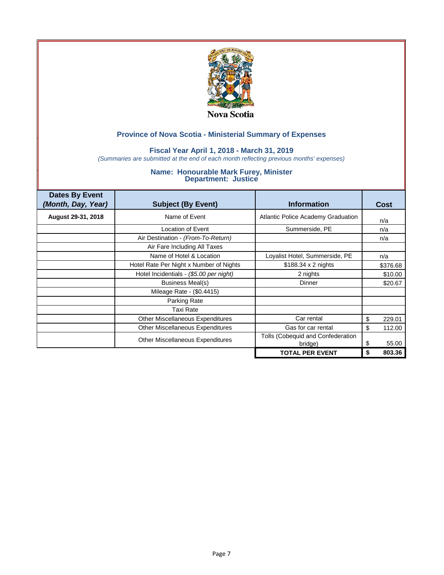

## **Fiscal Year April 1, 2018 - March 31, 2019**

*(Summaries are submitted at the end of each month reflecting previous months' expenses)*

| <b>Dates By Event</b><br>(Month, Day, Year) | <b>Subject (By Event)</b>               | <b>Information</b>                           | Cost         |
|---------------------------------------------|-----------------------------------------|----------------------------------------------|--------------|
| August 29-31, 2018                          | Name of Event                           | Atlantic Police Academy Graduation           | n/a          |
|                                             | Location of Event                       | Summerside, PE                               | n/a          |
|                                             | Air Destination - (From-To-Return)      |                                              | n/a          |
|                                             | Air Fare Including All Taxes            |                                              |              |
|                                             | Name of Hotel & Location                | Loyalist Hotel, Summerside, PE               | n/a          |
|                                             | Hotel Rate Per Night x Number of Nights | \$188.34 x 2 nights                          | \$376.68     |
|                                             | Hotel Incidentials - (\$5.00 per night) | 2 nights                                     | \$10.00      |
|                                             | Business Meal(s)                        | Dinner                                       | \$20.67      |
|                                             | Mileage Rate - (\$0.4415)               |                                              |              |
|                                             | Parking Rate                            |                                              |              |
|                                             | <b>Taxi Rate</b>                        |                                              |              |
|                                             | Other Miscellaneous Expenditures        | Car rental                                   | \$<br>229.01 |
|                                             | <b>Other Miscellaneous Expenditures</b> | Gas for car rental                           | \$<br>112.00 |
|                                             | Other Miscellaneous Expenditures        | Tolls (Cobequid and Confederation<br>bridge) | \$<br>55.00  |
|                                             |                                         | <b>TOTAL PER EVENT</b>                       | 803.36       |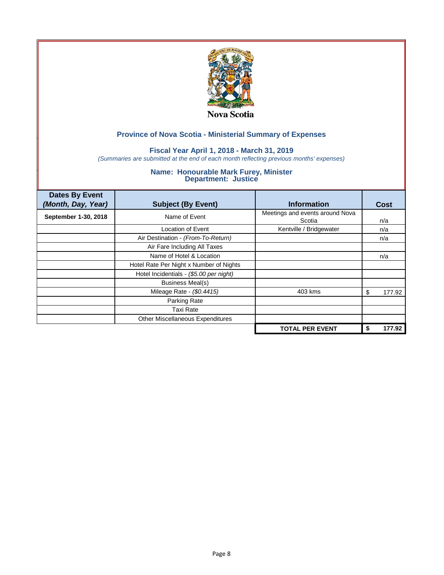

## **Fiscal Year April 1, 2018 - March 31, 2019**

*(Summaries are submitted at the end of each month reflecting previous months' expenses)*

| <b>Dates By Event</b><br>(Month, Day, Year) | <b>Subject (By Event)</b>               | <b>Information</b>                        | <b>Cost</b>  |
|---------------------------------------------|-----------------------------------------|-------------------------------------------|--------------|
| September 1-30, 2018                        | Name of Event                           | Meetings and events around Nova<br>Scotia | n/a          |
|                                             | Location of Event                       | Kentville / Bridgewater                   | n/a          |
|                                             | Air Destination - (From-To-Return)      |                                           | n/a          |
|                                             | Air Fare Including All Taxes            |                                           |              |
|                                             | Name of Hotel & Location                |                                           | n/a          |
|                                             | Hotel Rate Per Night x Number of Nights |                                           |              |
|                                             | Hotel Incidentials - (\$5.00 per night) |                                           |              |
|                                             | <b>Business Meal(s)</b>                 |                                           |              |
|                                             | Mileage Rate - (\$0.4415)               | 403 kms                                   | 177.92<br>S  |
|                                             | Parking Rate                            |                                           |              |
|                                             | Taxi Rate                               |                                           |              |
|                                             | Other Miscellaneous Expenditures        |                                           |              |
|                                             |                                         | <b>TOTAL PER EVENT</b>                    | 177.92<br>\$ |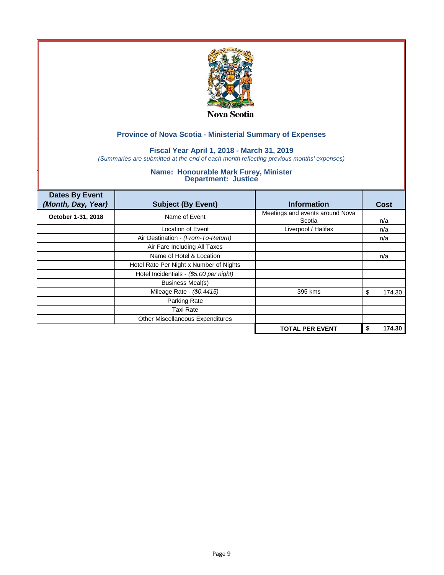

## **Fiscal Year April 1, 2018 - March 31, 2019**

*(Summaries are submitted at the end of each month reflecting previous months' expenses)*

| <b>Dates By Event</b><br>(Month, Day, Year) | <b>Subject (By Event)</b>               | <b>Information</b>                        | <b>Cost</b>  |
|---------------------------------------------|-----------------------------------------|-------------------------------------------|--------------|
| October 1-31, 2018                          | Name of Event                           | Meetings and events around Nova<br>Scotia | n/a          |
|                                             | Location of Event                       | Liverpool / Halifax                       | n/a          |
|                                             | Air Destination - (From-To-Return)      |                                           | n/a          |
|                                             | Air Fare Including All Taxes            |                                           |              |
|                                             | Name of Hotel & Location                |                                           | n/a          |
|                                             | Hotel Rate Per Night x Number of Nights |                                           |              |
|                                             | Hotel Incidentials - (\$5.00 per night) |                                           |              |
|                                             | <b>Business Meal(s)</b>                 |                                           |              |
|                                             | Mileage Rate - (\$0.4415)               | 395 kms                                   | 174.30<br>S  |
|                                             | Parking Rate                            |                                           |              |
|                                             | <b>Taxi Rate</b>                        |                                           |              |
|                                             | Other Miscellaneous Expenditures        |                                           |              |
|                                             |                                         | <b>TOTAL PER EVENT</b>                    | 174.30<br>\$ |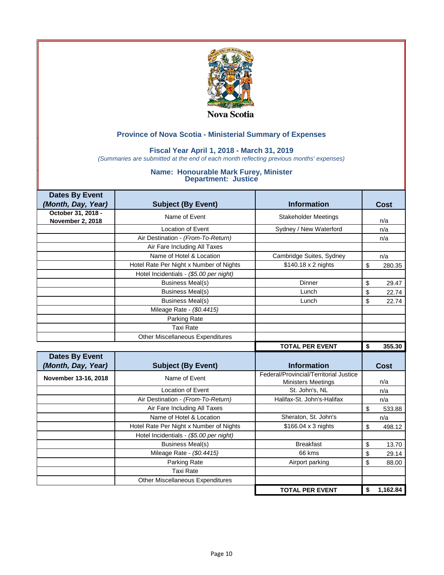

### **Fiscal Year April 1, 2018 - March 31, 2019**

*(Summaries are submitted at the end of each month reflecting previous months' expenses)*

| <b>Dates By Event</b>                       |                                         |                                                                     |                      |
|---------------------------------------------|-----------------------------------------|---------------------------------------------------------------------|----------------------|
| (Month, Day, Year)                          | <b>Subject (By Event)</b>               | <b>Information</b>                                                  | <b>Cost</b>          |
| October 31, 2018 -                          | Name of Event                           | <b>Stakeholder Meetings</b>                                         |                      |
| <b>November 2, 2018</b>                     |                                         |                                                                     | n/a                  |
|                                             | <b>Location of Event</b>                | Sydney / New Waterford                                              | n/a                  |
|                                             | Air Destination - (From-To-Return)      |                                                                     | n/a                  |
|                                             | Air Fare Including All Taxes            |                                                                     |                      |
|                                             | Name of Hotel & Location                | Cambridge Suites, Sydney                                            | n/a                  |
|                                             | Hotel Rate Per Night x Number of Nights | \$140.18 x 2 nights                                                 | \$<br>280.35         |
|                                             | Hotel Incidentials - (\$5.00 per night) |                                                                     |                      |
|                                             | <b>Business Meal(s)</b>                 | Dinner                                                              | \$<br>29.47          |
|                                             | <b>Business Meal(s)</b>                 | Lunch                                                               | \$<br>22.74          |
|                                             | <b>Business Meal(s)</b>                 | Lunch                                                               | \$<br>22.74          |
|                                             | Mileage Rate - (\$0.4415)               |                                                                     |                      |
|                                             | Parking Rate                            |                                                                     |                      |
|                                             | <b>Taxi Rate</b>                        |                                                                     |                      |
|                                             | <b>Other Miscellaneous Expenditures</b> |                                                                     |                      |
|                                             |                                         |                                                                     |                      |
|                                             |                                         | <b>TOTAL PER EVENT</b>                                              | 355.30<br>\$         |
|                                             |                                         |                                                                     |                      |
| <b>Dates By Event</b><br>(Month, Day, Year) | <b>Subject (By Event)</b>               | <b>Information</b>                                                  | Cost                 |
| November 13-16, 2018                        | Name of Event                           | Federal/Provincial/Territorial Justice<br><b>Ministers Meetings</b> | n/a                  |
|                                             | Location of Event                       | St. John's, NL                                                      | n/a                  |
|                                             | Air Destination - (From-To-Return)      | Halifax-St. John's-Halifax                                          | n/a                  |
|                                             | Air Fare Including All Taxes            |                                                                     | 533.88<br>\$         |
|                                             | Name of Hotel & Location                | Sheraton, St. John's                                                | n/a                  |
|                                             | Hotel Rate Per Night x Number of Nights | \$166.04 x 3 nights                                                 | \$<br>498.12         |
|                                             | Hotel Incidentials - (\$5.00 per night) |                                                                     |                      |
|                                             | <b>Business Meal(s)</b>                 | <b>Breakfast</b>                                                    | \$                   |
|                                             |                                         | 66 kms                                                              | 13.70<br>\$<br>29.14 |
|                                             | Mileage Rate - (\$0.4415)               |                                                                     | \$<br>88.00          |
|                                             | Parking Rate<br><b>Taxi Rate</b>        | Airport parking                                                     |                      |
|                                             | <b>Other Miscellaneous Expenditures</b> |                                                                     |                      |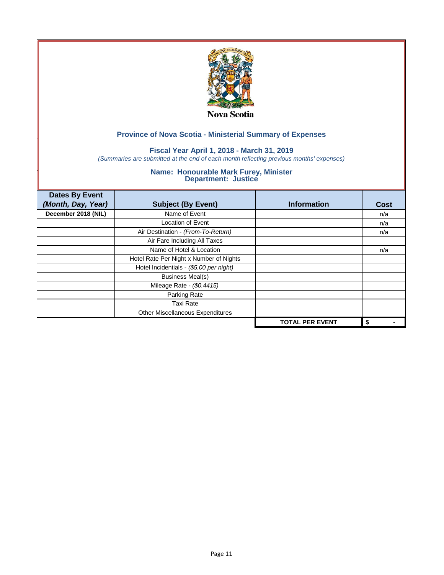

## **Fiscal Year April 1, 2018 - March 31, 2019**

*(Summaries are submitted at the end of each month reflecting previous months' expenses)*

| <b>Dates By Event</b><br>(Month, Day, Year) | <b>Subject (By Event)</b>               | <b>Information</b>     | <b>Cost</b> |
|---------------------------------------------|-----------------------------------------|------------------------|-------------|
| December 2018 (NIL)                         | Name of Event                           |                        | n/a         |
|                                             | <b>Location of Event</b>                |                        | n/a         |
|                                             | Air Destination - (From-To-Return)      |                        | n/a         |
|                                             | Air Fare Including All Taxes            |                        |             |
|                                             | Name of Hotel & Location                |                        | n/a         |
|                                             | Hotel Rate Per Night x Number of Nights |                        |             |
|                                             | Hotel Incidentials - (\$5.00 per night) |                        |             |
|                                             | <b>Business Meal(s)</b>                 |                        |             |
|                                             | Mileage Rate - (\$0.4415)               |                        |             |
|                                             | Parking Rate                            |                        |             |
|                                             | Taxi Rate                               |                        |             |
|                                             | Other Miscellaneous Expenditures        |                        |             |
|                                             |                                         | <b>TOTAL PER EVENT</b> | \$          |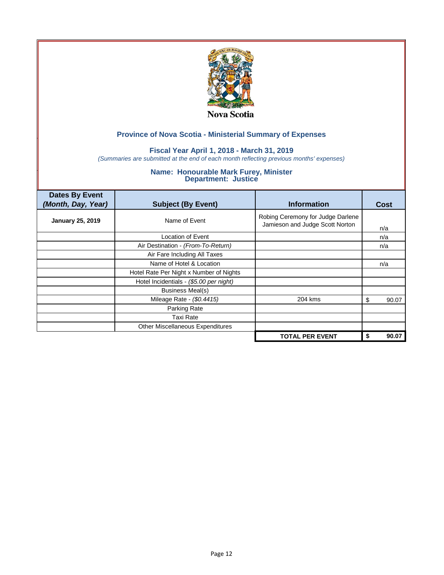

### **Fiscal Year April 1, 2018 - March 31, 2019**

*(Summaries are submitted at the end of each month reflecting previous months' expenses)*

| <b>Dates By Event</b><br>(Month, Day, Year) | <b>Subject (By Event)</b>               | <b>Information</b>                                                   | Cost       |
|---------------------------------------------|-----------------------------------------|----------------------------------------------------------------------|------------|
| <b>January 25, 2019</b>                     | Name of Event                           | Robing Ceremony for Judge Darlene<br>Jamieson and Judge Scott Norton | n/a        |
|                                             | Location of Event                       |                                                                      | n/a        |
|                                             | Air Destination - (From-To-Return)      |                                                                      | n/a        |
|                                             | Air Fare Including All Taxes            |                                                                      |            |
|                                             | Name of Hotel & Location                |                                                                      | n/a        |
|                                             | Hotel Rate Per Night x Number of Nights |                                                                      |            |
|                                             | Hotel Incidentials - (\$5.00 per night) |                                                                      |            |
|                                             | <b>Business Meal(s)</b>                 |                                                                      |            |
|                                             | Mileage Rate - (\$0.4415)               | 204 kms                                                              | 90.07<br>S |
|                                             | Parking Rate                            |                                                                      |            |
|                                             | Taxi Rate                               |                                                                      |            |
|                                             | Other Miscellaneous Expenditures        |                                                                      |            |
|                                             |                                         | <b>TOTAL PER EVENT</b>                                               | 90.07      |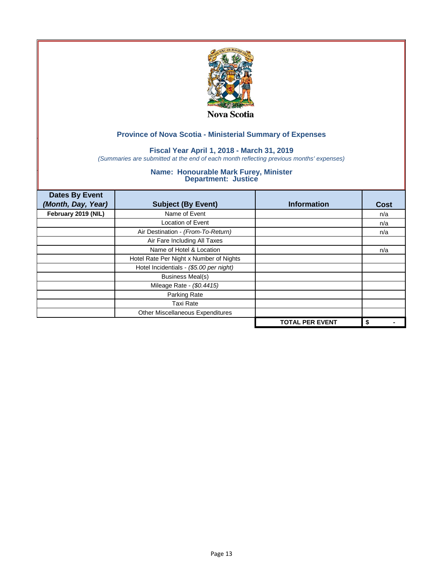

## **Fiscal Year April 1, 2018 - March 31, 2019**

*(Summaries are submitted at the end of each month reflecting previous months' expenses)*

| <b>Dates By Event</b><br>(Month, Day, Year) | <b>Subject (By Event)</b>               | <b>Information</b>     | <b>Cost</b> |
|---------------------------------------------|-----------------------------------------|------------------------|-------------|
| February 2019 (NIL)                         | Name of Event                           |                        | n/a         |
|                                             | <b>Location of Event</b>                |                        | n/a         |
|                                             | Air Destination - (From-To-Return)      |                        | n/a         |
|                                             | Air Fare Including All Taxes            |                        |             |
|                                             | Name of Hotel & Location                |                        | n/a         |
|                                             | Hotel Rate Per Night x Number of Nights |                        |             |
|                                             | Hotel Incidentials - (\$5.00 per night) |                        |             |
|                                             | <b>Business Meal(s)</b>                 |                        |             |
|                                             | Mileage Rate - (\$0.4415)               |                        |             |
|                                             | Parking Rate                            |                        |             |
|                                             | Taxi Rate                               |                        |             |
|                                             | Other Miscellaneous Expenditures        |                        |             |
|                                             |                                         | <b>TOTAL PER EVENT</b> | \$          |